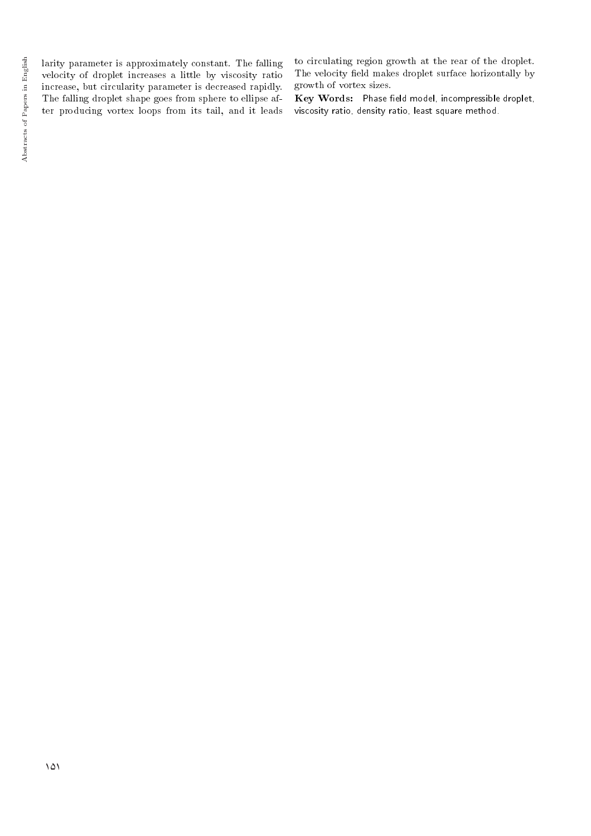larity parameter is approximately constant. The falling velocity of droplet increases a little by viscosity ratio increase, but circularity parameter is decreased rapidly. The falling droplet shape goes from sphere to ellipse after producing vortex loops from its tail, and it leads to circulating region growth at the rear of the droplet. The velocity field makes droplet surface horizontally by growth of vortex sizes.

Key Words: Phase field model, incompressible droplet, viscosity ratio, density ratio, least square method.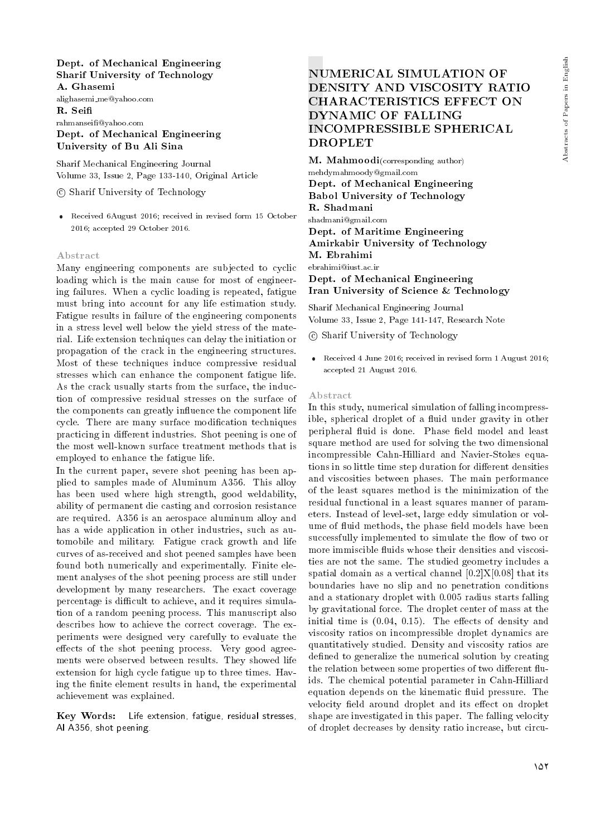### Dept. of Mechanical Engineering Sharif University of Technology A. Ghasemi

alighasemi me@yahoo.com R. Sei rahmansei@yahoo.com Dept. of Mechanical Engineering

University of Bu Ali Sina

Sharif Mechanical Engineering Journal Volume 33, Issue 2, Page 133-140, Original Article

c Sharif University of Technology

 Received 6August 2016; received in revised form 15 October 2016; accepted 29 October 2016.

#### Abstract

Many engineering components are subjected to cyclic loading which is the main cause for most of engineering failures. When a cyclic loading is repeated, fatigue must bring into account for any life estimation study. Fatigue results in failure of the engineering components in a stress level well below the yield stress of the material. Life extension techniques can delay the initiation or propagation of the crack in the engineering structures. Most of these techniques induce compressive residual stresses which can enhance the component fatigue life. As the crack usually starts from the surface, the induction of compressive residual stresses on the surface of the components can greatly influence the component life cycle. There are many surface modication techniques practicing in different industries. Shot peening is one of the most well-known surface treatment methods that is employed to enhance the fatigue life.

In the current paper, severe shot peening has been applied to samples made of Aluminum A356. This alloy has been used where high strength, good weldability, ability of permanent die casting and corrosion resistance are required. A356 is an aerospace aluminum alloy and has a wide application in other industries, such as automobile and military. Fatigue crack growth and life curves of as-received and shot peened samples have been found both numerically and experimentally. Finite element analyses of the shot peening process are still under development by many researchers. The exact coverage percentage is difficult to achieve, and it requires simulation of a random peening process. This manuscript also describes how to achieve the correct coverage. The experiments were designed very carefully to evaluate the effects of the shot peening process. Very good agreements were observed between results. They showed life extension for high cycle fatigue up to three times. Having the finite element results in hand, the experimental achievement was explained.

Key Words: Life extension, fatigue, residual stresses, Al A356, shot peening.

# NUMERICAL SIMULATION OF DENSITY AND VISCOSITY RATIO CHARACTERISTICS EFFECT ON DYNAMIC OF FALLING INCOMPRESSIBLE SPHERICAL DROPLET

M. Mahmoodi(corresponding author) mehdymahmoody@gmail.com Dept. of Mechanical Engineering Babol University of Technology R. Shadmani shadmani@gmail.com Dept. of Maritime Engineering Amirkabir University of Technology M. Ebrahimi ebrahimi@iust.ac.ir Dept. of Mechanical Engineering Iran University of Science & Technology

Sharif Mechanical Engineering Journal Volume 33, Issue 2, Page 141-147, Research Note

c Sharif University of Technology

 Received 4 June 2016; received in revised form 1 August 2016; accepted 21 August 2016.

#### Abstract

In this study, numerical simulation of falling incompressible, spherical droplet of a fluid under gravity in other peripheral fluid is done. Phase field model and least square method are used for solving the two dimensional incompressible Cahn-Hilliard and Navier-Stokes equations in so little time step duration for different densities and viscosities between phases. The main performance of the least squares method is the minimization of the residual functional in a least squares manner of parameters. Instead of level-set, large eddy simulation or volume of fluid methods, the phase field models have been successfully implemented to simulate the flow of two or more immiscible fluids whose their densities and viscosities are not the same. The studied geometry includes a spatial domain as a vertical channel  $[0.2]X[0.08]$  that its boundaries have no slip and no penetration conditions and a stationary droplet with 0.005 radius starts falling by gravitational force. The droplet center of mass at the initial time is  $(0.04, 0.15)$ . The effects of density and viscosity ratios on incompressible droplet dynamics are quantitatively studied. Density and viscosity ratios are defined to generalize the numerical solution by creating the relation between some properties of two different fluids. The chemical potential parameter in Cahn-Hilliard equation depends on the kinematic fluid pressure. The velocity field around droplet and its effect on droplet shape are investigated in this paper. The falling velocity of droplet decreases by density ratio increase, but circu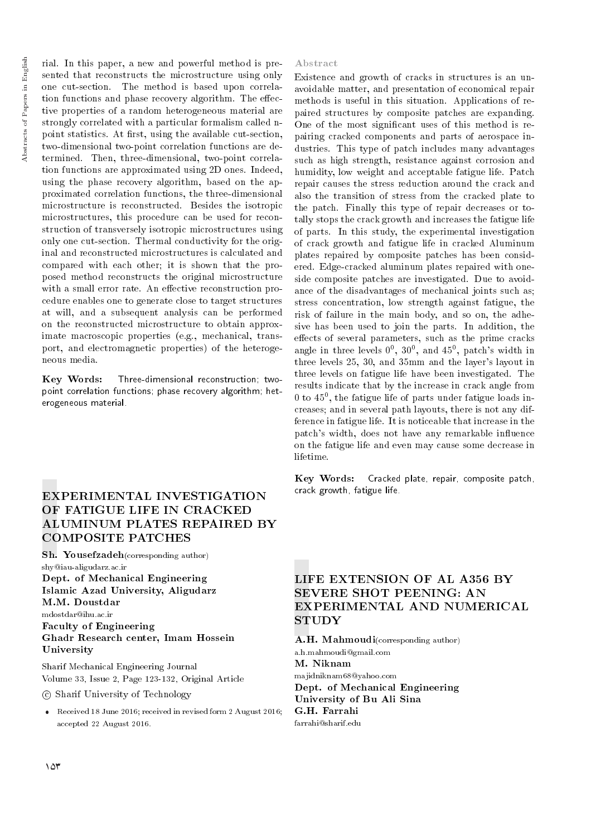rial. In this paper, a new and powerful method is presented that reconstructs the microstructure using only one cut-section. The method is based upon correlation functions and phase recovery algorithm. The effective properties of a random heterogeneous material are strongly correlated with a particular formalism called npoint statistics. At first, using the available cut-section, two-dimensional two-point correlation functions are determined. Then, three-dimensional, two-point correlation functions are approximated using 2D ones. Indeed, using the phase recovery algorithm, based on the approximated correlation functions, the three-dimensional microstructure is reconstructed. Besides the isotropic microstructures, this procedure can be used for reconstruction of transversely isotropic microstructures using only one cut-section. Thermal conductivity for the original and reconstructed microstructures is calculated and compared with each other; it is shown that the proposed method reconstructs the original microstructure with a small error rate. An effective reconstruction procedure enables one to generate close to target structures at will, and a subsequent analysis can be performed on the reconstructed microstructure to obtain approximate macroscopic properties (e.g., mechanical, transport, and electromagnetic properties) of the heterogeneous media.

Key Words: Three-dimensional reconstruction; twopoint correlation functions; phase recovery algorithm; heterogeneous material.

# EXPERIMENTAL INVESTIGATION OF FATIGUE LIFE IN CRACKED ALUMINUM PLATES REPAIRED BY COMPOSITE PATCHES

Sh. Yousefzadeh(corresponding author) shy@iau-aligudarz.ac.ir Dept. of Mechanical Engineering

Islamic Azad University, Aligudarz M.M. Doustdar

mdostdar@ihu.ac.ir

## Faculty of Engineering Ghadr Research center, Imam Hossein University

Sharif Mechanical Engineering Journal Volume 33, Issue 2, Page 123-132, Original Article

c Sharif University of Technology

 Received 18 June 2016; received in revised form 2 August 2016; accepted 22 August 2016.

#### Abstract

Existence and growth of cracks in structures is an unavoidable matter, and presentation of economical repair methods is useful in this situation. Applications of repaired structures by composite patches are expanding. One of the most signicant uses of this method is repairing cracked components and parts of aerospace industries. This type of patch includes many advantages such as high strength, resistance against corrosion and humidity, low weight and acceptable fatigue life. Patch repair causes the stress reduction around the crack and also the transition of stress from the cracked plate to the patch. Finally this type of repair decreases or totally stops the crack growth and increases the fatigue life of parts. In this study, the experimental investigation of crack growth and fatigue life in cracked Aluminum plates repaired by composite patches has been considered. Edge-cracked aluminum plates repaired with oneside composite patches are investigated. Due to avoidance of the disadvantages of mechanical joints such as; stress concentration, low strength against fatigue, the risk of failure in the main body, and so on, the adhesive has been used to join the parts. In addition, the effects of several parameters, such as the prime cracks angle in three levels  $0^0$ ,  $30^0$ , and  $45^0$ , patch's width in three levels 25, 30, and 35mm and the layer's layout in three levels on fatigue life have been investigated. The results indicate that by the increase in crack angle from 0 to  $45^{\circ}$ , the fatigue life of parts under fatigue loads increases; and in several path layouts, there is not any difference in fatigue life. It is noticeable that increase in the patch's width, does not have any remarkable influence on the fatigue life and even may cause some decrease in lifetime.

Key Words: Cracked plate, repair, composite patch, crack growth, fatigue life.

# LIFE EXTENSION OF AL A356 BY SEVERE SHOT PEENING: AN EXPERIMENTAL AND NUMERICAL STUDY

A.H. Mahmoudi(corresponding author) a.h.mahmoudi@gmail.com M. Niknam majidniknam68@yahoo.com

Dept. of Mechanical Engineering University of Bu Ali Sina G.H. Farrahi farrahi@sharif.edu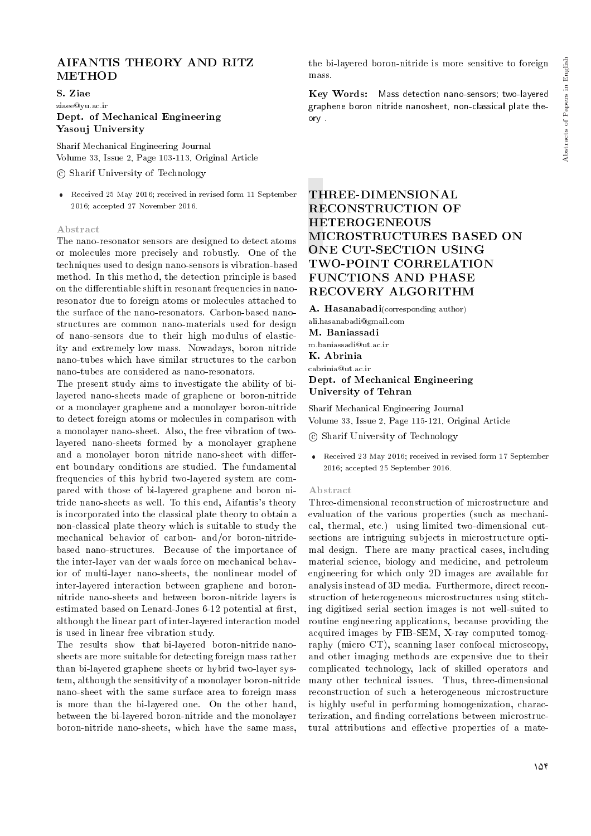## AIFANTIS THEORY AND RITZ METHOD

#### S. Ziae

ziaee@yu.ac.ir

## Dept. of Mechanical Engineering Yasouj University

Sharif Mechanical Engineering Journal Volume 33, Issue 2, Page 103-113, Original Article

## c Sharif University of Technology

 Received 25 May 2016; received in revised form 11 September 2016; accepted 27 November 2016.

#### Abstract

The nano-resonator sensors are designed to detect atoms or molecules more precisely and robustly. One of the techniques used to design nano-sensors is vibration-based method. In this method, the detection principle is based on the differentiable shift in resonant frequencies in nanoresonator due to foreign atoms or molecules attached to the surface of the nano-resonators. Carbon-based nanostructures are common nano-materials used for design of nano-sensors due to their high modulus of elasticity and extremely low mass. Nowadays, boron nitride nano-tubes which have similar structures to the carbon nano-tubes are considered as nano-resonators.

The present study aims to investigate the ability of bilayered nano-sheets made of graphene or boron-nitride or a monolayer graphene and a monolayer boron-nitride to detect foreign atoms or molecules in comparison with a monolayer nano-sheet. Also, the free vibration of twolayered nano-sheets formed by a monolayer graphene and a monolayer boron nitride nano-sheet with different boundary conditions are studied. The fundamental frequencies of this hybrid two-layered system are compared with those of bi-layered graphene and boron nitride nano-sheets as well. To this end, Aifantis's theory is incorporated into the classical plate theory to obtain a non-classical plate theory which is suitable to study the mechanical behavior of carbon- and/or boron-nitridebased nano-structures. Because of the importance of the inter-layer van der waals force on mechanical behavior of multi-layer nano-sheets, the nonlinear model of inter-layered interaction between graphene and boronnitride nano-sheets and between boron-nitride layers is estimated based on Lenard-Jones 6-12 potential at first, although the linear part of inter-layered interaction model is used in linear free vibration study.

The results show that bi-layered boron-nitride nanosheets are more suitable for detecting foreign mass rather than bi-layered graphene sheets or hybrid two-layer system, although the sensitivity of a monolayer boron-nitride nano-sheet with the same surface area to foreign mass is more than the bi-layered one. On the other hand, between the bi-layered boron-nitride and the monolayer boron-nitride nano-sheets, which have the same mass,

the bi-layered boron-nitride is more sensitive to foreign mass.

Key Words: Mass detection nano-sensors; two-layered graphene boron nitride nanosheet, non-classical plate theory .

# THREE-DIMENSIONAL RECONSTRUCTION OF HETEROGENEOUS MICROSTRUCTURES BASED ON ONE CUT-SECTION USING TWO-POINT CORRELATION FUNCTIONS AND PHASE RECOVERY ALGORITHM

A. Hasanabadi(corresponding author) ali.hasanabadi@gmail.com M. Baniassadi m.baniassadi@ut.ac.ir K. Abrinia cabrinia@ut.ac.ir Dept. of Mechanical Engineering University of Tehran

Sharif Mechanical Engineering Journal Volume 33, Issue 2, Page 115-121, Original Article

c Sharif University of Technology

 Received 23 May 2016; received in revised form 17 September 2016; accepted 25 September 2016.

#### Abstract

Three-dimensional reconstruction of microstructure and evaluation of the various properties (such as mechanical, thermal, etc.) using limited two-dimensional cutsections are intriguing subjects in microstructure optimal design. There are many practical cases, including material science, biology and medicine, and petroleum engineering for which only 2D images are available for analysis instead of 3D media. Furthermore, direct reconstruction of heterogeneous microstructures using stitching digitized serial section images is not well-suited to routine engineering applications, because providing the acquired images by FIB-SEM, X-ray computed tomography (micro CT), scanning laser confocal microscopy, and other imaging methods are expensive due to their complicated technology, lack of skilled operators and many other technical issues. Thus, three-dimensional reconstruction of such a heterogeneous microstructure is highly useful in performing homogenization, characterization, and finding correlations between microstructural attributions and effective properties of a mate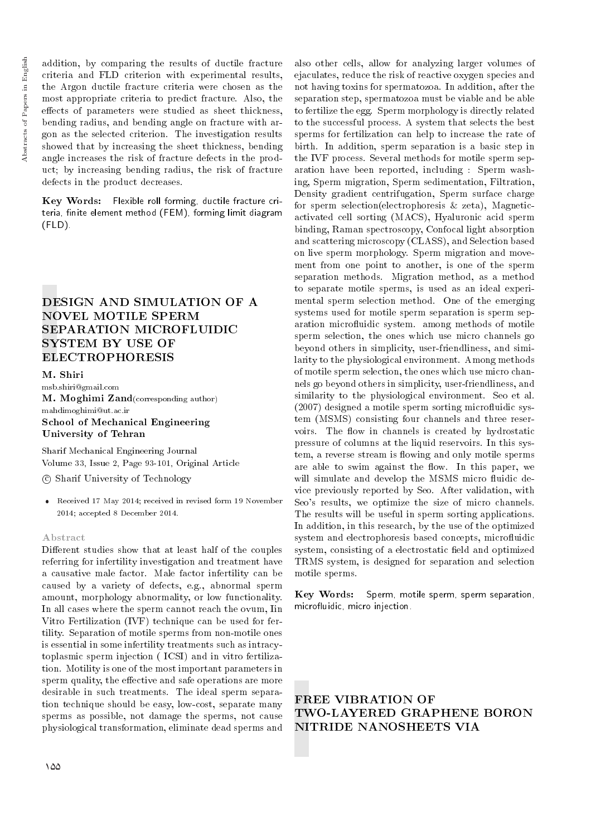addition, by comparing the results of ductile fracture criteria and FLD criterion with experimental results, the Argon ductile fracture criteria were chosen as the most appropriate criteria to predict fracture. Also, the effects of parameters were studied as sheet thickness, bending radius, and bending angle on fracture with argon as the selected criterion. The investigation results showed that by increasing the sheet thickness, bending angle increases the risk of fracture defects in the product; by increasing bending radius, the risk of fracture defects in the product decreases.

Key Words: Flexible roll forming, ductile fracture criteria, finite element method (FEM), forming limit diagram (FLD).

# DESIGN AND SIMULATION OF A NOVEL MOTILE SPERM SEPARATION MICROFLUIDIC SYSTEM BY USE OF ELECTROPHORESIS

M. Shiri msb.shiri@gmail.com M. Moghimi Zand(corresponding author) mahdimoghimi@ut.ac.ir School of Mechanical Engineering University of Tehran

Sharif Mechanical Engineering Journal Volume 33, Issue 2, Page 93-101, Original Article

c Sharif University of Technology

 Received 17 May 2014; received in revised form 19 November 2014; accepted 8 December 2014.

#### Abstract

Different studies show that at least half of the couples referring for infertility investigation and treatment have a causative male factor. Male factor infertility can be caused by a variety of defects, e.g., abnormal sperm amount, morphology abnormality, or low functionality. In all cases where the sperm cannot reach the ovum, Iin Vitro Fertilization (IVF) technique can be used for fertility. Separation of motile sperms from non-motile ones is essential in some infertility treatments such as intracytoplasmic sperm injection ( ICSI) and in vitro fertilization. Motility is one of the most important parameters in sperm quality, the effective and safe operations are more desirable in such treatments. The ideal sperm separation technique should be easy, low-cost, separate many sperms as possible, not damage the sperms, not cause physiological transformation, eliminate dead sperms and

also other cells, allow for analyzing larger volumes of ejaculates, reduce the risk of reactive oxygen species and not having toxins for spermatozoa. In addition, after the separation step, spermatozoa must be viable and be able to fertilize the egg. Sperm morphology is directly related to the successful process. A system that selects the best sperms for fertilization can help to increase the rate of birth. In addition, sperm separation is a basic step in the IVF process. Several methods for motile sperm separation have been reported, including : Sperm washing, Sperm migration, Sperm sedimentation, Filtration, Density gradient centrifugation, Sperm surface charge for sperm selection(electrophoresis & zeta), Magneticactivated cell sorting (MACS), Hyaluronic acid sperm binding, Raman spectroscopy, Confocal light absorption and scattering microscopy (CLASS), and Selection based on live sperm morphology. Sperm migration and movement from one point to another, is one of the sperm separation methods. Migration method, as a method to separate motile sperms, is used as an ideal experimental sperm selection method. One of the emerging systems used for motile sperm separation is sperm separation microfluidic system. among methods of motile sperm selection, the ones which use micro channels go beyond others in simplicity, user-friendliness, and similarity to the physiological environment. Among methods of motile sperm selection, the ones which use micro channels go beyond others in simplicity, user-friendliness, and similarity to the physiological environment. Seo et al. (2007) designed a motile sperm sorting microfluidic system (MSMS) consisting four channels and three reservoirs. The flow in channels is created by hydrostatic pressure of columns at the liquid reservoirs. In this system, a reverse stream is flowing and only motile sperms are able to swim against the flow. In this paper, we will simulate and develop the MSMS micro fluidic device previously reported by Seo. After validation, with Seo's results, we optimize the size of micro channels. The results will be useful in sperm sorting applications. In addition, in this research, by the use of the optimized system and electrophoresis based concepts, microfluidic system, consisting of a electrostatic field and optimized TRMS system, is designed for separation and selection motile sperms.

Key Words: Sperm, motile sperm, sperm separation, microfluidic, micro injection.

# FREE VIBRATION OF TWO-LAYERED GRAPHENE BORON NITRIDE NANOSHEETS VIA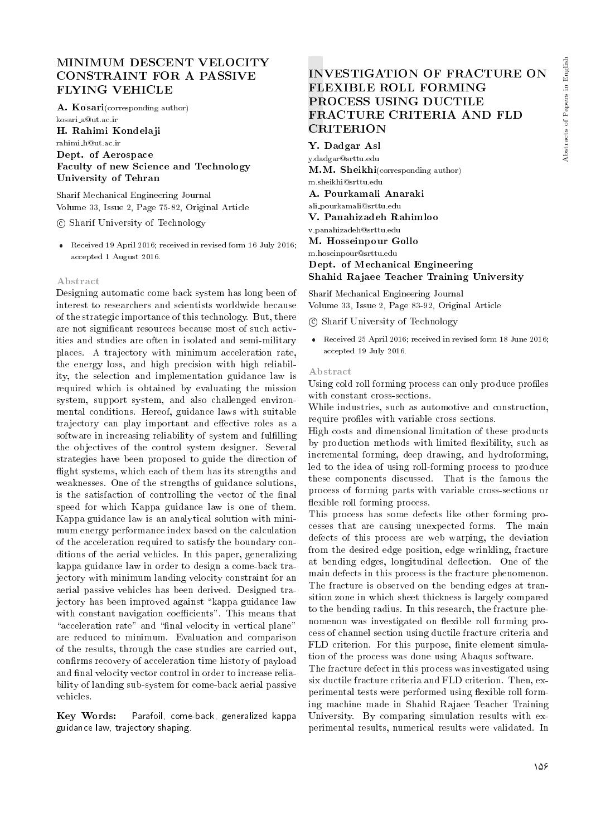## MINIMUM DESCENT VELOCITY CONSTRAINT FOR A PASSIVE FLYING VEHICLE

A. Kosari(corresponding author)

kosari a@ut.ac.ir H. Rahimi Kondelaji rahimi h@ut.ac.ir

Dept. of Aerospace Faculty of new Science and Technology University of Tehran

Sharif Mechanical Engineering Journal Volume 33, Issue 2, Page 75-82, Original Article

c Sharif University of Technology

 Received 19 April 2016; received in revised form 16 July 2016; accepted 1 August 2016.

#### Abstract

Designing automatic come back system has long been of interest to researchers and scientists worldwide because of the strategic importance of this technology. But, there are not signicant resources because most of such activities and studies are often in isolated and semi-military places. A trajectory with minimum acceleration rate, the energy loss, and high precision with high reliability, the selection and implementation guidance law is required which is obtained by evaluating the mission system, support system, and also challenged environmental conditions. Hereof, guidance laws with suitable trajectory can play important and effective roles as a software in increasing reliability of system and fulfilling the objectives of the control system designer. Several strategies have been proposed to guide the direction of flight systems, which each of them has its strengths and weaknesses. One of the strengths of guidance solutions, is the satisfaction of controlling the vector of the final speed for which Kappa guidance law is one of them. Kappa guidance law is an analytical solution with minimum energy performance index based on the calculation of the acceleration required to satisfy the boundary conditions of the aerial vehicles. In this paper, generalizing kappa guidance law in order to design a come-back trajectory with minimum landing velocity constraint for an aerial passive vehicles has been derived. Designed trajectory has been improved against "kappa guidance law with constant navigation coefficients". This means that "acceleration rate" and "final velocity in vertical plane" are reduced to minimum. Evaluation and comparison of the results, through the case studies are carried out, confirms recovery of acceleration time history of payload and final velocity vector control in order to increase reliability of landing sub-system for come-back aerial passive vehicles.

Key Words: Parafoil, come-back, generalized kappa guidance law, trajectory shaping.

# INVESTIGATION OF FRACTURE ON FLEXIBLE ROLL FORMING PROCESS USING DUCTILE FRACTURE CRITERIA AND FLD CRITERION

Y. Dadgar Asl y.dadgar@srttu.edu M.M. Sheikhi(corresponding author) m.sheikhi@srttu.edu A. Pourkamali Anaraki ali pourkamali@srttu.edu V. Panahizadeh Rahimloo v.panahizadeh@srttu.edu M. Hosseinpour Gollo m.hoseinpour@srttu.edu Dept. of Mechanical Engineering Shahid Rajaee Teacher Training University

Sharif Mechanical Engineering Journal Volume 33, Issue 2, Page 83-92, Original Article

- c Sharif University of Technology
- Received 25 April 2016; received in revised form 18 June 2016; accepted 19 July 2016.

#### Abstract

Using cold roll forming process can only produce profiles with constant cross-sections.

While industries, such as automotive and construction, require profiles with variable cross sections.

High costs and dimensional limitation of these products by production methods with limited flexibility, such as incremental forming, deep drawing, and hydroforming, led to the idea of using roll-forming process to produce these components discussed. That is the famous the process of forming parts with variable cross-sections or flexible roll forming process.

This process has some defects like other forming processes that are causing unexpected forms. The main defects of this process are web warping, the deviation from the desired edge position, edge wrinkling, fracture at bending edges, longitudinal deflection. One of the main defects in this process is the fracture phenomenon. The fracture is observed on the bending edges at transition zone in which sheet thickness is largely compared to the bending radius. In this research, the fracture phenomenon was investigated on flexible roll forming process of channel section using ductile fracture criteria and FLD criterion. For this purpose, finite element simulation of the process was done using Abaqus software.

The fracture defect in this process was investigated using six ductile fracture criteria and FLD criterion. Then, experimental tests were performed using flexible roll forming machine made in Shahid Rajaee Teacher Training University. By comparing simulation results with experimental results, numerical results were validated. In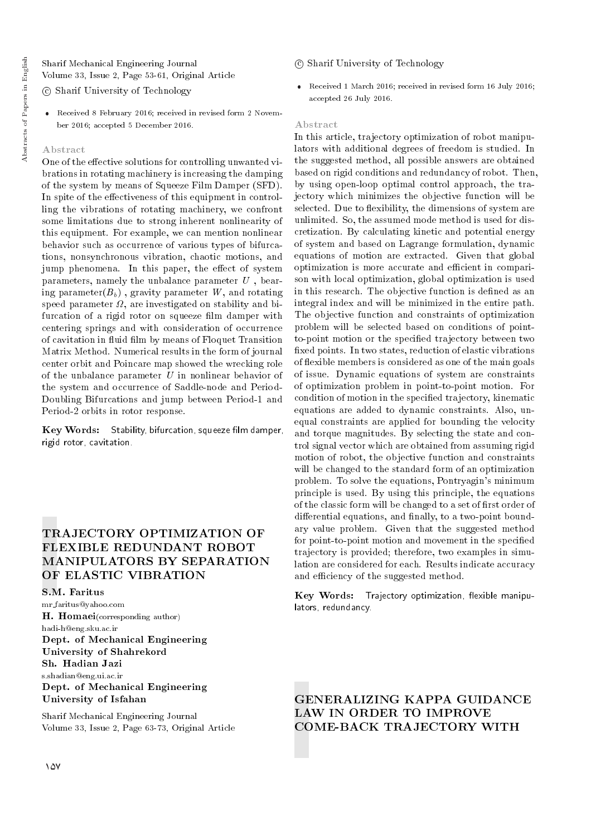Sharif Mechanical Engineering Journal Volume 33, Issue 2, Page 53-61, Original Article

c Sharif University of Technology

 Received 8 February 2016; received in revised form 2 November 2016; accepted 5 December 2016.

#### Abstract

One of the effective solutions for controlling unwanted vibrations in rotating machinery is increasing the damping of the system by means of Squeeze Film Damper (SFD). In spite of the effectiveness of this equipment in controlling the vibrations of rotating machinery, we confront some limitations due to strong inherent nonlinearity of this equipment. For example, we can mention nonlinear behavior such as occurrence of various types of bifurcations, nonsynchronous vibration, chaotic motions, and jump phenomena. In this paper, the effect of system parameters, namely the unbalance parameter U , bearing parameter( $B_b$ ), gravity parameter W, and rotating speed parameter  $\varOmega,$  are investigated on stability and bifurcation of a rigid rotor on squeeze film damper with centering springs and with consideration of occurrence of cavitation in fluid film by means of Floquet Transition Matrix Method. Numerical results in the form of journal center orbit and Poincare map showed the wrecking role of the unbalance parameter  $U$  in nonlinear behavior of the system and occurrence of Saddle-node and Period-Doubling Bifurcations and jump between Period-1 and Period-2 orbits in rotor response.

Key Words: Stability, bifurcation, squeeze film damper, rigid rotor, cavitation.

# TRAJECTORY OPTIMIZATION OF FLEXIBLE REDUNDANT ROBOT MANIPULATORS BY SEPARATION OF ELASTIC VIBRATION

S.M. Faritus

mr faritus@yahoo.com H. Homaei(corresponding author) hadi-h@eng.sku.ac.ir Dept. of Mechanical Engineering University of Shahrekord s.shadian@eng.ui.ac.ir Dept. of Mechanical Engineering University of Isfahan Sh. Hadian Jazi

Sharif Mechanical Engineering Journal Volume 33, Issue 2, Page 63-73, Original Article

- c Sharif University of Technology
- Received 1 March 2016; received in revised form 16 July 2016; accepted 26 July 2016.

#### Abstract

In this article, trajectory optimization of robot manipulators with additional degrees of freedom is studied. In the suggested method, all possible answers are obtained based on rigid conditions and redundancy of robot. Then, by using open-loop optimal control approach, the trajectory which minimizes the objective function will be selected. Due to flexibility, the dimensions of system are unlimited. So, the assumed mode method is used for discretization. By calculating kinetic and potential energy of system and based on Lagrange formulation, dynamic equations of motion are extracted. Given that global optimization is more accurate and efficient in comparison with local optimization, global optimization is used in this research. The objective function is defined as an integral index and will be minimized in the entire path. The objective function and constraints of optimization problem will be selected based on conditions of pointto-point motion or the specied trajectory between two xed points. In two states, reduction of elastic vibrations of flexible members is considered as one of the main goals of issue. Dynamic equations of system are constraints of optimization problem in point-to-point motion. For condition of motion in the specied trajectory, kinematic equations are added to dynamic constraints. Also, unequal constraints are applied for bounding the velocity and torque magnitudes. By selecting the state and control signal vector which are obtained from assuming rigid motion of robot, the objective function and constraints will be changed to the standard form of an optimization problem. To solve the equations, Pontryagin's minimum principle is used. By using this principle, the equations of the classic form will be changed to a set of first order of differential equations, and finally, to a two-point boundary value problem. Given that the suggested method for point-to-point motion and movement in the specified trajectory is provided; therefore, two examples in simulation are considered for each. Results indicate accuracy and efficiency of the suggested method.

Key Words: Trajectory optimization, flexible manipulators, redundancy.

GENERALIZING KAPPA GUIDANCE LAW IN ORDER TO IMPROVE COME-BACK TRAJECTORY WITH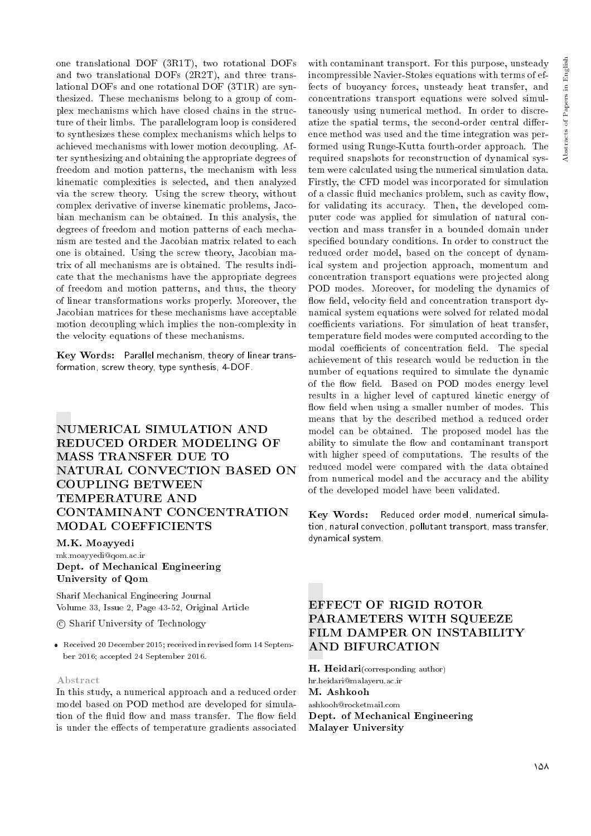one translational DOF (3R1T), two rotational DOFs and two translational DOFs (2R2T), and three translational DOFs and one rotational DOF (3T1R) are synthesized. These mechanisms belong to a group of complex mechanisms which have closed chains in the structure of their limbs. The parallelogram loop is considered to synthesizes these complex mechanisms which helps to achieved mechanisms with lower motion decoupling. After synthesizing and obtaining the appropriate degrees of freedom and motion patterns, the mechanism with less kinematic complexities is selected, and then analyzed via the screw theory. Using the screw theory, without complex derivative of inverse kinematic problems, Jacobian mechanism can be obtained. In this analysis, the degrees of freedom and motion patterns of each mechanism are tested and the Jacobian matrix related to each one is obtained. Using the screw theory, Jacobian matrix of all mechanisms are is obtained. The results indicate that the mechanisms have the appropriate degrees of freedom and motion patterns, and thus, the theory of linear transformations works properly. Moreover, the Jacobian matrices for these mechanisms have acceptable motion decoupling which implies the non-complexity in the velocity equations of these mechanisms.

Key Words: Parallel mechanism, theory of linear transformation, screw theory, type synthesis, 4-DOF.

# NUMERICAL SIMULATION AND REDUCED ORDER MODELING OF MASS TRANSFER DUE TO NATURAL CONVECTION BASED ON COUPLING BETWEEN TEMPERATURE AND CONTAMINANT CONCENTRATION MODAL COEFFICIENTS

M.K. Moayyedi mk.moayyedi@qom.ac.ir Dept. of Mechanical Engineering University of Qom

Sharif Mechanical Engineering Journal Volume 33, Issue 2, Page 43-52, Original Article

c Sharif University of Technology

 Received 20 December 2015; received in revised form 14 September 2016; accepted 24 September 2016.

#### Abstract

In this study, a numerical approach and a reduced order model based on POD method are developed for simulation of the fluid flow and mass transfer. The flow field is under the effects of temperature gradients associated

with contaminant transport. For this purpose, unsteady incompressible Navier-Stokes equations with terms of effects of buoyancy forces, unsteady heat transfer, and concentrations transport equations were solved simultaneously using numerical method. In order to discreatize the spatial terms, the second-order central difference method was used and the time integration was performed using Runge-Kutta fourth-order approach. The required snapshots for reconstruction of dynamical system were calculated using the numerical simulation data. Firstly, the CFD model was incorporated for simulation of a classic fluid mechanics problem, such as cavity flow, for validating its accuracy. Then, the developed computer code was applied for simulation of natural convection and mass transfer in a bounded domain under specied boundary conditions. In order to construct the reduced order model, based on the concept of dynamical system and projection approach, momentum and concentration transport equations were projected along POD modes. Moreover, for modeling the dynamics of flow field, velocity field and concentration transport dynamical system equations were solved for related modal coefficients variations. For simulation of heat transfer, temperature field modes were computed according to the modal coefficients of concentration field. The special achievement of this research would be reduction in the number of equations required to simulate the dynamic of the flow field. Based on POD modes energy level results in a higher level of captured kinetic energy of flow field when using a smaller number of modes. This means that by the described method a reduced order model can be obtained. The proposed model has the ability to simulate the flow and contaminant transport with higher speed of computations. The results of the reduced model were compared with the data obtained from numerical model and the accuracy and the ability of the developed model have been validated.

Key Words: Reduced order model, numerical simulation, natural convection, pollutant transport, mass transfer, dynamical system.

# EFFECT OF RIGID ROTOR PARAMETERS WITH SQUEEZE FILM DAMPER ON INSTABILITY AND BIFURCATION

H. Heidari(corresponding author) hr.heidari@malayeru.ac.ir M. Ashkooh ashkooh@rocketmail.com Dept. of Mechanical Engineering Malayer University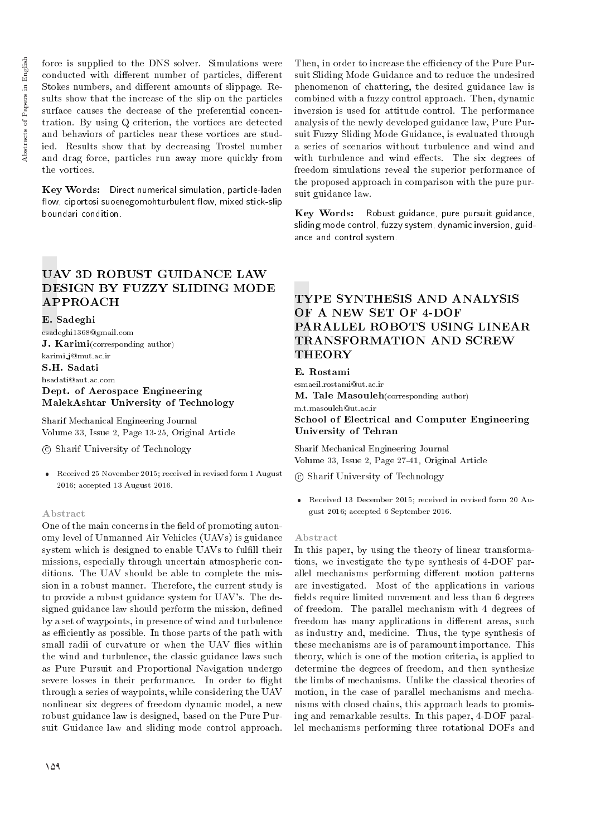force is supplied to the DNS solver. Simulations were conducted with different number of particles, different Stokes numbers, and different amounts of slippage. Results show that the increase of the slip on the particles surface causes the decrease of the preferential concentration. By using Q criterion, the vortices are detected and behaviors of particles near these vortices are studied. Results show that by decreasing Trostel number and drag force, particles run away more quickly from the vortices.

Key Words: Direct numerical simulation, particle-laden flow, ciportosi suoenegomohturbulent flow, mixed stick-slip boundari condition.

# UAV 3D ROBUST GUIDANCE LAW DESIGN BY FUZZY SLIDING MODE APPROACH

E. Sadeghi

esadeghi1368@gmail.com J. Karimi(corresponding author) karimi j@mut.ac.ir S.H. Sadati hsadati@aut.ac.com Dept. of Aerospace Engineering MalekAshtar University of Technology

Sharif Mechanical Engineering Journal Volume 33, Issue 2, Page 13-25, Original Article

c Sharif University of Technology

 Received 25 November 2015; received in revised form 1 August 2016; accepted 13 August 2016.

#### Abstract

One of the main concerns in the field of promoting autonomy level of Unmanned Air Vehicles (UAVs) is guidance system which is designed to enable UAVs to fulfill their missions, especially through uncertain atmospheric conditions. The UAV should be able to complete the mission in a robust manner. Therefore, the current study is to provide a robust guidance system for UAV's. The designed guidance law should perform the mission, defined by a set of waypoints, in presence of wind and turbulence as efficiently as possible. In those parts of the path with small radii of curvature or when the UAV flies within the wind and turbulence, the classic guidance laws such as Pure Pursuit and Proportional Navigation undergo severe losses in their performance. In order to flight through a series of waypoints, while considering the UAV nonlinear six degrees of freedom dynamic model, a new robust guidance law is designed, based on the Pure Pursuit Guidance law and sliding mode control approach.

Then, in order to increase the efficiency of the Pure Pursuit Sliding Mode Guidance and to reduce the undesired phenomenon of chattering, the desired guidance law is combined with a fuzzy control approach. Then, dynamic inversion is used for attitude control. The performance analysis of the newly developed guidance law, Pure Pursuit Fuzzy Sliding Mode Guidance, is evaluated through a series of scenarios without turbulence and wind and with turbulence and wind effects. The six degrees of freedom simulations reveal the superior performance of the proposed approach in comparison with the pure pursuit guidance law.

Key Words: Robust guidance, pure pursuit guidance, sliding mode control, fuzzy system, dynamic inversion, guidance and control system.

# TYPE SYNTHESIS AND ANALYSIS OF A NEW SET OF 4-DOF PARALLEL ROBOTS USING LINEAR TRANSFORMATION AND SCREW THEORY

## E. Rostami

esmaeil.rostami@ut.ac.ir M. Tale Masouleh(corresponding author) m.t.masouleh@ut.ac.ir School of Electrical and Computer Engineering University of Tehran

Sharif Mechanical Engineering Journal Volume 33, Issue 2, Page 27-41, Original Article

c Sharif University of Technology

 Received 13 December 2015; received in revised form 20 August 2016; accepted 6 September 2016.

#### Abstract

In this paper, by using the theory of linear transformations, we investigate the type synthesis of 4-DOF parallel mechanisms performing different motion patterns are investigated. Most of the applications in various fields require limited movement and less than 6 degrees of freedom. The parallel mechanism with 4 degrees of freedom has many applications in different areas, such as industry and, medicine. Thus, the type synthesis of these mechanisms are is of paramount importance. This theory, which is one of the motion criteria, is applied to determine the degrees of freedom, and then synthesize the limbs of mechanisms. Unlike the classical theories of motion, in the case of parallel mechanisms and mechanisms with closed chains, this approach leads to promising and remarkable results. In this paper, 4-DOF parallel mechanisms performing three rotational DOFs and